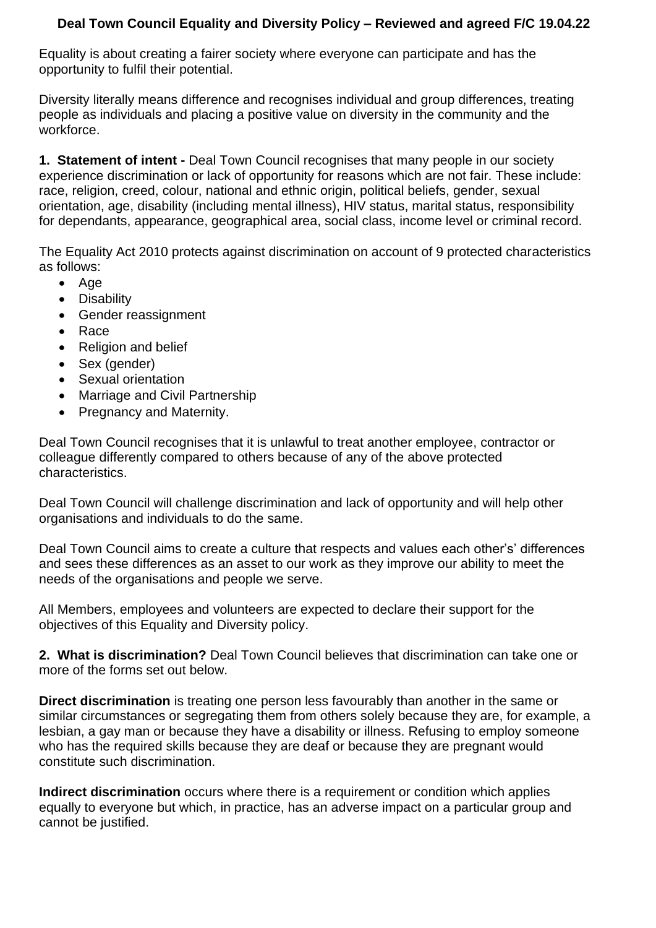## **Deal Town Council Equality and Diversity Policy – Reviewed and agreed F/C 19.04.22**

Equality is about creating a fairer society where everyone can participate and has the opportunity to fulfil their potential.

Diversity literally means difference and recognises individual and group differences, treating people as individuals and placing a positive value on diversity in the community and the workforce.

**1. Statement of intent -** Deal Town Council recognises that many people in our society experience discrimination or lack of opportunity for reasons which are not fair. These include: race, religion, creed, colour, national and ethnic origin, political beliefs, gender, sexual orientation, age, disability (including mental illness), HIV status, marital status, responsibility for dependants, appearance, geographical area, social class, income level or criminal record.

The Equality Act 2010 protects against discrimination on account of 9 protected characteristics as follows:

- Age
- Disability
- Gender reassignment
- Race
- Religion and belief
- Sex (gender)
- Sexual orientation
- Marriage and Civil Partnership
- Pregnancy and Maternity.

Deal Town Council recognises that it is unlawful to treat another employee, contractor or colleague differently compared to others because of any of the above protected characteristics.

Deal Town Council will challenge discrimination and lack of opportunity and will help other organisations and individuals to do the same.

Deal Town Council aims to create a culture that respects and values each other's' differences and sees these differences as an asset to our work as they improve our ability to meet the needs of the organisations and people we serve.

All Members, employees and volunteers are expected to declare their support for the objectives of this Equality and Diversity policy.

**2. What is discrimination?** Deal Town Council believes that discrimination can take one or more of the forms set out below.

**Direct discrimination** is treating one person less favourably than another in the same or similar circumstances or segregating them from others solely because they are, for example, a lesbian, a gay man or because they have a disability or illness. Refusing to employ someone who has the required skills because they are deaf or because they are pregnant would constitute such discrimination.

**Indirect discrimination** occurs where there is a requirement or condition which applies equally to everyone but which, in practice, has an adverse impact on a particular group and cannot be justified.